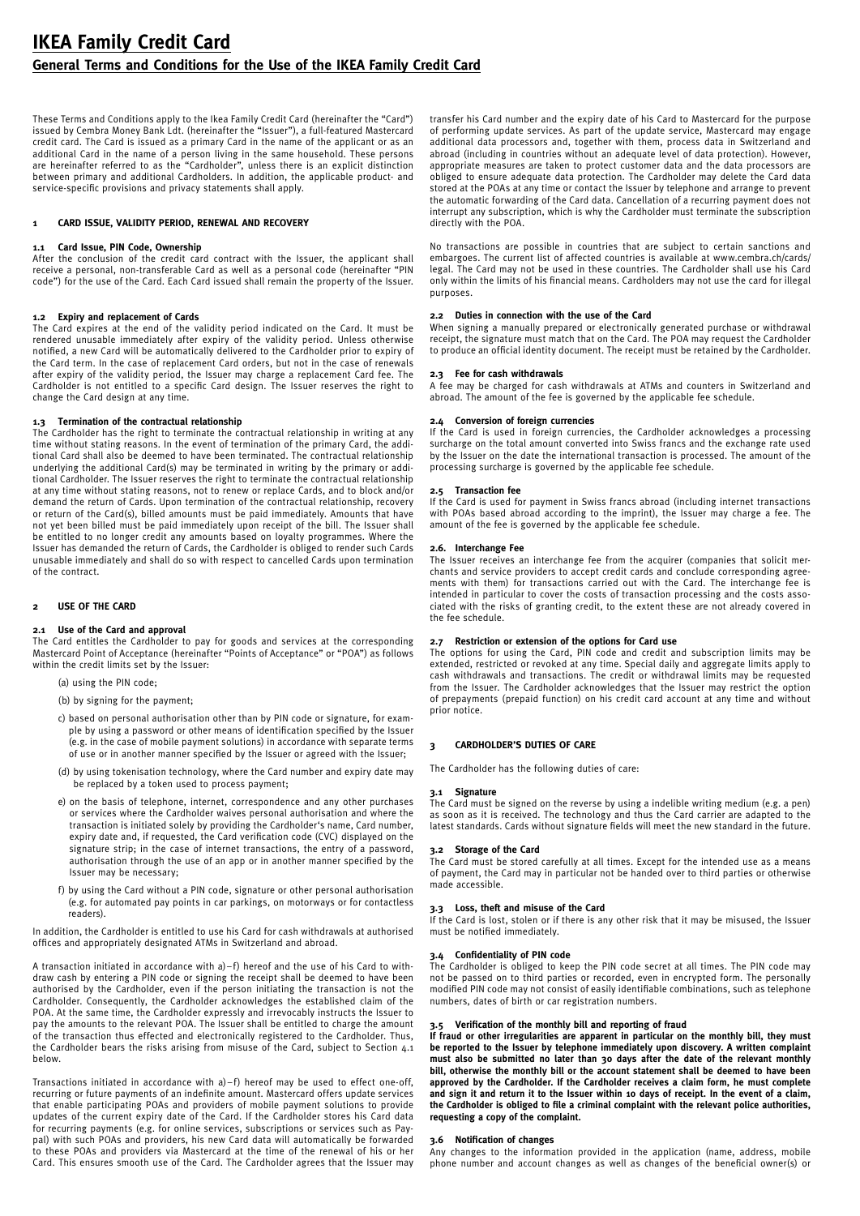These Terms and Conditions apply to the Ikea Family Credit Card (hereinafter the "Card") issued by Cembra Money Bank Ldt. (hereinafter the "Issuer"), a full-featured Mastercard credit card. The Card is issued as a primary Card in the name of the applicant or as an additional Card in the name of a person living in the same household. These persons are hereinafter referred to as the "Cardholder", unless there is an explicit distinction between primary and additional Cardholders. In addition, the applicable product- and service-specific provisions and privacy statements shall apply.

#### **1 CARD ISSUE, VALIDITY PERIOD, RENEWAL AND RECOVERY**

#### **1.1 Card Issue, PIN Code, Ownership**

After the conclusion of the credit card contract with the Issuer, the applicant shall receive a personal, non-transferable Card as well as a personal code (hereinafter "PIN code") for the use of the Card. Each Card issued shall remain the property of the Issuer.

#### **1.2 Expiry and replacement of Cards**

The Card expires at the end of the validity period indicated on the Card. It must be rendered unusable immediately after expiry of the validity period. Unless otherwise notified, a new Card will be automatically delivered to the Cardholder prior to expiry of the Card term. In the case of replacement Card orders, but not in the case of renewals after expiry of the validity period, the Issuer may charge a replacement Card fee. The Cardholder is not entitled to a specific Card design. The Issuer reserves the right to change the Card design at any time.

# **1.3 Termination of the contractual relationship**

The Cardholder has the right to terminate the contractual relationship in writing at any time without stating reasons. In the event of termination of the primary Card, the additional Card shall also be deemed to have been terminated. The contractual relationship underlying the additional Card(s) may be terminated in writing by the primary or additional Cardholder. The Issuer reserves the right to terminate the contractual relationship at any time without stating reasons, not to renew or replace Cards, and to block and/or demand the return of Cards. Upon termination of the contractual relationship, recovery or return of the Card(s), billed amounts must be paid immediately. Amounts that have not yet been billed must be paid immediately upon receipt of the bill. The Issuer shall be entitled to no longer credit any amounts based on loyalty programmes. Where the Issuer has demanded the return of Cards, the Cardholder is obliged to render such Cards unusable immediately and shall do so with respect to cancelled Cards upon termination of the contract.

#### **2 USE OF THE CARD**

# **2.1 Use of the Card and approval**

The Card entitles the Cardholder to pay for goods and services at the corresponding Mastercard Point of Acceptance (hereinafter "Points of Acceptance" or "POA") as follows within the credit limits set by the Issuer:

(a) using the PIN code;

(b) by signing for the payment;

- c) based on personal authorisation other than by PIN code or signature, for example by using a password or other means of identification specified by the Issuer (e.g. in the case of mobile payment solutions) in accordance with separate terms of use or in another manner specified by the Issuer or agreed with the Issuer;
- (d) by using tokenisation technology, where the Card number and expiry date may be replaced by a token used to process payment;
- e) on the basis of telephone, internet, correspondence and any other purchases or services where the Cardholder waives personal authorisation and where the transaction is initiated solely by providing the Cardholder's name, Card number, expiry date and, if requested, the Card verification code (CVC) displayed on the signature strip; in the case of internet transactions, the entry of a password, authorisation through the use of an app or in another manner specified by the Issuer may be necessary;
- f) by using the Card without a PIN code, signature or other personal authorisation (e.g. for automated pay points in car parkings, on motorways or for contactless readers).

In addition, the Cardholder is entitled to use his Card for cash withdrawals at authorised offices and appropriately designated ATMs in Switzerland and abroad.

A transaction initiated in accordance with  $a$ ) – f) hereof and the use of his Card to withdraw cash by entering a PIN code or signing the receipt shall be deemed to have been authorised by the Cardholder, even if the person initiating the transaction is not the Cardholder. Consequently, the Cardholder acknowledges the established claim of the POA. At the same time, the Cardholder expressly and irrevocably instructs the Issuer to pay the amounts to the relevant POA. The Issuer shall be entitled to charge the amount of the transaction thus effected and electronically registered to the Cardholder. Thus, the Cardholder bears the risks arising from misuse of the Card, subject to Section 4.1 below.

Transactions initiated in accordance with  $a$ ) –f) hereof may be used to effect one-off, recurring or future payments of an indefinite amount. Mastercard offers update services that enable participating POAs and providers of mobile payment solutions to provide updates of the current expiry date of the Card. If the Cardholder stores his Card data for recurring payments (e.g. for online services, subscriptions or services such as Paypal) with such POAs and providers, his new Card data will automatically be forwarded to these POAs and providers via Mastercard at the time of the renewal of his or her Card. This ensures smooth use of the Card. The Cardholder agrees that the Issuer may

transfer his Card number and the expiry date of his Card to Mastercard for the purpose of performing update services. As part of the update service, Mastercard may engage additional data processors and, together with them, process data in Switzerland and abroad (including in countries without an adequate level of data protection). However, appropriate measures are taken to protect customer data and the data processors are obliged to ensure adequate data protection. The Cardholder may delete the Card data stored at the POAs at any time or contact the Issuer by telephone and arrange to prevent the automatic forwarding of the Card data. Cancellation of a recurring payment does not interrupt any subscription, which is why the Cardholder must terminate the subscription directly with the POA.

No transactions are possible in countries that are subject to certain sanctions and embargoes. The current list of affected countries is available at www.cembra.ch/cards/ legal. The Card may not be used in these countries. The Cardholder shall use his Card only within the limits of his financial means. Cardholders may not use the card for illegal purposes.

# **2.2 Duties in connection with the use of the Card**

When signing a manually prepared or electronically generated purchase or withdrawal receipt, the signature must match that on the Card. The POA may request the Cardholder to produce an official identity document. The receipt must be retained by the Cardholder.

#### **2.3 Fee for cash withdrawals**

A fee may be charged for cash withdrawals at ATMs and counters in Switzerland and abroad. The amount of the fee is governed by the applicable fee schedule.

#### **2.4 Conversion of foreign currencies**

If the Card is used in foreign currencies, the Cardholder acknowledges a processing surcharge on the total amount converted into Swiss francs and the exchange rate used by the Issuer on the date the international transaction is processed. The amount of the processing surcharge is governed by the applicable fee schedule.

#### **2.5 Transaction fee**

If the Card is used for payment in Swiss francs abroad (including internet transactions with POAs based abroad according to the imprint), the Issuer may charge a fee. The amount of the fee is governed by the applicable fee schedule.

#### **2.6. Interchange Fee**

The Issuer receives an interchange fee from the acquirer (companies that solicit merchants and service providers to accept credit cards and conclude corresponding agreements with them) for transactions carried out with the Card. The interchange fee is intended in particular to cover the costs of transaction processing and the costs associated with the risks of granting credit, to the extent these are not already covered in the fee schedule.

### **2.7 Restriction or extension of the options for Card use**

The options for using the Card, PIN code and credit and subscription limits may be extended, restricted or revoked at any time. Special daily and aggregate limits apply to cash withdrawals and transactions. The credit or withdrawal limits may be requested from the Issuer. The Cardholder acknowledges that the Issuer may restrict the option of prepayments (prepaid function) on his credit card account at any time and without prior notice.

# **3 CARDHOLDER'S DUTIES OF CARE**

The Cardholder has the following duties of care:

**3.1 Signature** The Card must be signed on the reverse by using a indelible writing medium (e.g. a pen) as soon as it is received. The technology and thus the Card carrier are adapted to the latest standards. Cards without signature fields will meet the new standard in the future.

#### **3.2 Storage of the Card**

The Card must be stored carefully at all times. Except for the intended use as a means of payment, the Card may in particular not be handed over to third parties or otherwise made accessible.

### **3.3 Loss, theft and misuse of the Card**

If the Card is lost, stolen or if there is any other risk that it may be misused, the Issuer must be notified immediately.

# **3.4 Confidentiality of PIN code**

The Cardholder is obliged to keep the PIN code secret at all times. The PIN code may not be passed on to third parties or recorded, even in encrypted form. The personally modified PIN code may not consist of easily identifiable combinations, such as telephone numbers, dates of birth or car registration numbers.

#### **3.5 Verification of the monthly bill and reporting of fraud**

**If fraud or other irregularities are apparent in particular on the monthly bill, they must be reported to the Issuer by telephone immediately upon discovery. A written complaint must also be submitted no later than 30 days after the date of the relevant monthly bill, otherwise the monthly bill or the account statement shall be deemed to have been approved by the Cardholder. If the Cardholder receives a claim form, he must complete and sign it and return it to the Issuer within 10 days of receipt. In the event of a claim, the Cardholder is obliged to file a criminal complaint with the relevant police authorities, requesting a copy of the complaint.**

# **3.6 Notification of changes**

Any changes to the information provided in the application (name, address, mobile phone number and account changes as well as changes of the beneficial owner(s) or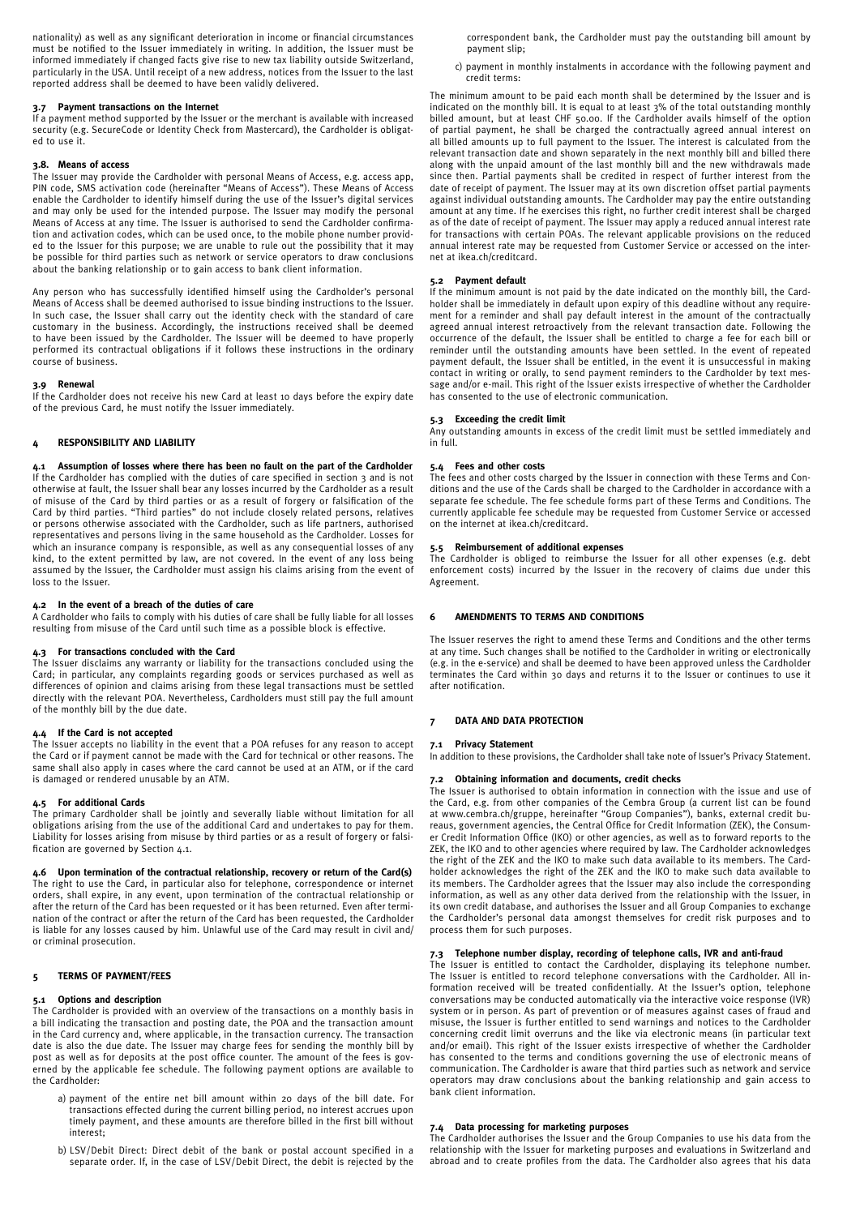nationality) as well as any significant deterioration in income or financial circumstances must be notified to the Issuer immediately in writing. In addition, the Issuer must be informed immediately if changed facts give rise to new tax liability outside Switzerland, particularly in the USA. Until receipt of a new address, notices from the Issuer to the last reported address shall be deemed to have been validly delivered.

# **3.7 Payment transactions on the Internet**

If a payment method supported by the Issuer or the merchant is available with increased security (e.g. SecureCode or Identity Check from Mastercard), the Cardholder is obligated to use it.

# **3.8. Means of access**

The Issuer may provide the Cardholder with personal Means of Access, e.g. access app, PIN code, SMS activation code (hereinafter "Means of Access"). These Means of Access enable the Cardholder to identify himself during the use of the Issuer's digital services and may only be used for the intended purpose. The Issuer may modify the personal Means of Access at any time. The Issuer is authorised to send the Cardholder confirmation and activation codes, which can be used once, to the mobile phone number provided to the Issuer for this purpose; we are unable to rule out the possibility that it may be possible for third parties such as network or service operators to draw conclusions about the banking relationship or to gain access to bank client information.

Any person who has successfully identified himself using the Cardholder's personal Means of Access shall be deemed authorised to issue binding instructions to the Issuer. In such case, the Issuer shall carry out the identity check with the standard of care customary in the business. Accordingly, the instructions received shall be deemed to have been issued by the Cardholder. The Issuer will be deemed to have properly performed its contractual obligations if it follows these instructions in the ordinary course of business.

**3.9 Renewal** If the Cardholder does not receive his new Card at least 10 days before the expiry date of the previous Card, he must notify the Issuer immediately.

# **4 RESPONSIBILITY AND LIABILITY**

**4.1 Assumption of losses where there has been no fault on the part of the Cardholder** If the Cardholder has complied with the duties of care specified in section 3 and is not otherwise at fault, the Issuer shall bear any losses incurred by the Cardholder as a result of misuse of the Card by third parties or as a result of forgery or falsification of the Card by third parties. "Third parties" do not include closely related persons, relatives or persons otherwise associated with the Cardholder, such as life partners, authorised representatives and persons living in the same household as the Cardholder. Losses for which an insurance company is responsible, as well as any consequential losses of any kind, to the extent permitted by law, are not covered. In the event of any loss being assumed by the Issuer, the Cardholder must assign his claims arising from the event of loss to the Issuer.

# **4.2 In the event of a breach of the duties of care**

A Cardholder who fails to comply with his duties of care shall be fully liable for all losses resulting from misuse of the Card until such time as a possible block is effective.

#### **4.3 For transactions concluded with the Card**

The Issuer disclaims any warranty or liability for the transactions concluded using the Card; in particular, any complaints regarding goods or services purchased as well as differences of opinion and claims arising from these legal transactions must be settled directly with the relevant POA. Nevertheless, Cardholders must still pay the full amount of the monthly bill by the due date.

# **4.4 If the Card is not accepted**

The Issuer accepts no liability in the event that a POA refuses for any reason to accept the Card or if payment cannot be made with the Card for technical or other reasons. The same shall also apply in cases where the card cannot be used at an ATM, or if the card is damaged or rendered unusable by an ATM.

# **4.5 For additional Cards**

The primary Cardholder shall be jointly and severally liable without limitation for all obligations arising from the use of the additional Card and undertakes to pay for them. Liability for losses arising from misuse by third parties or as a result of forgery or falsification are governed by Section  $4.1$ .

**4.6 Upon termination of the contractual relationship, recovery or return of the Card(s)**  The right to use the Card, in particular also for telephone, correspondence or internet orders, shall expire, in any event, upon termination of the contractual relationship or after the return of the Card has been requested or it has been returned. Even after termination of the contract or after the return of the Card has been requested, the Cardholder is liable for any losses caused by him. Unlawful use of the Card may result in civil and/ or criminal prosecution.

#### **5 TERMS OF PAYMENT/FEES**

**5.1 Options and description** The Cardholder is provided with an overview of the transactions on a monthly basis in a bill indicating the transaction and posting date, the POA and the transaction amount in the Card currency and, where applicable, in the transaction currency. The transaction date is also the due date. The Issuer may charge fees for sending the monthly bill by post as well as for deposits at the post office counter. The amount of the fees is governed by the applicable fee schedule. The following payment options are available to the Cardholder:

- a) payment of the entire net bill amount within 20 days of the bill date. For transactions effected during the current billing period, no interest accrues upon timely payment, and these amounts are therefore billed in the first bill without interest;
- b) LSV/Debit Direct: Direct debit of the bank or postal account specified in a separate order. If, in the case of LSV/Debit Direct, the debit is rejected by the

correspondent bank, the Cardholder must pay the outstanding bill amount by payment slip;

c) payment in monthly instalments in accordance with the following payment and credit terms:

The minimum amount to be paid each month shall be determined by the Issuer and is indicated on the monthly bill. It is equal to at least 3% of the total outstanding monthly billed amount, but at least CHF 50.00. If the Cardholder avails himself of the option of partial payment, he shall be charged the contractually agreed annual interest on all billed amounts up to full payment to the Issuer. The interest is calculated from the relevant transaction date and shown separately in the next monthly bill and billed there along with the unpaid amount of the last monthly bill and the new withdrawals made since then. Partial payments shall be credited in respect of further interest from the date of receipt of payment. The Issuer may at its own discretion offset partial payments against individual outstanding amounts. The Cardholder may pay the entire outstanding amount at any time. If he exercises this right, no further credit interest shall be charged as of the date of receipt of payment. The Issuer may apply a reduced annual interest rate for transactions with certain POAs. The relevant applicable provisions on the reduced annual interest rate may be requested from Customer Service or accessed on the internet at ikea.ch/creditcard.

#### **5.2 Payment default**

If the minimum amount is not paid by the date indicated on the monthly bill, the Cardholder shall be immediately in default upon expiry of this deadline without any requirement for a reminder and shall pay default interest in the amount of the contractually agreed annual interest retroactively from the relevant transaction date. Following the occurrence of the default, the Issuer shall be entitled to charge a fee for each bill or reminder until the outstanding amounts have been settled. In the event of repeated payment default, the Issuer shall be entitled, in the event it is unsuccessful in making contact in writing or orally, to send payment reminders to the Cardholder by text message and/or e-mail. This right of the Issuer exists irrespective of whether the Cardholder has consented to the use of electronic communication.

#### **5.3 Exceeding the credit limit**

Any outstanding amounts in excess of the credit limit must be settled immediately and in full.

**5.4 Fees and other costs** The fees and other costs charged by the Issuer in connection with these Terms and Conditions and the use of the Cards shall be charged to the Cardholder in accordance with a separate fee schedule. The fee schedule forms part of these Terms and Conditions. The currently applicable fee schedule may be requested from Customer Service or accessed on the internet at ikea.ch/creditcard.

# **5.5 Reimbursement of additional expenses**

The Cardholder is obliged to reimburse the Issuer for all other expenses (e.g. debt enforcement costs) incurred by the Issuer in the recovery of claims due under this Agreement.

#### **6 AMENDMENTS TO TERMS AND CONDITIONS**

The Issuer reserves the right to amend these Terms and Conditions and the other terms at any time. Such changes shall be notified to the Cardholder in writing or electronically (e.g. in the e-service) and shall be deemed to have been approved unless the Cardholder terminates the Card within 30 days and returns it to the Issuer or continues to use it after notification.

#### **7 DATA AND DATA PROTECTION**

#### **7.1 Privacy Statement**

In addition to these provisions, the Cardholder shall take note of Issuer's Privacy Statement.

# **7.2 Obtaining information and documents, credit checks**

The Issuer is authorised to obtain information in connection with the issue and use of the Card, e.g. from other companies of the Cembra Group (a current list can be found at www.cembra.ch/gruppe, hereinafter "Group Companies"), banks, external credit bureaus, government agencies, the Central Office for Credit Information (ZEK), the Consumer Credit Information Office (IKO) or other agencies, as well as to forward reports to the ZEK, the IKO and to other agencies where required by law. The Cardholder acknowledges the right of the ZEK and the IKO to make such data available to its members. The Cardholder acknowledges the right of the ZEK and the IKO to make such data available to its members. The Cardholder agrees that the Issuer may also include the corresponding information, as well as any other data derived from the relationship with the Issuer, in its own credit database, and authorises the Issuer and all Group Companies to exchange the Cardholder's personal data amongst themselves for credit risk purposes and to process them for such purposes.

### **7.3 Telephone number display, recording of telephone calls, IVR and anti-fraud**

The Issuer is entitled to contact the Cardholder, displaying its telephone number. The Issuer is entitled to record telephone conversations with the Cardholder. All information received will be treated confidentially. At the Issuer's option, telephone conversations may be conducted automatically via the interactive voice response (IVR) system or in person. As part of prevention or of measures against cases of fraud and misuse, the Issuer is further entitled to send warnings and notices to the Cardholder concerning credit limit overruns and the like via electronic means (in particular text and/or email). This right of the Issuer exists irrespective of whether the Cardholder has consented to the terms and conditions governing the use of electronic means of communication. The Cardholder is aware that third parties such as network and service operators may draw conclusions about the banking relationship and gain access to bank client information.

**7.4 Data processing for marketing purposes** The Cardholder authorises the Issuer and the Group Companies to use his data from the relationship with the Issuer for marketing purposes and evaluations in Switzerland and abroad and to create profiles from the data. The Cardholder also agrees that his data